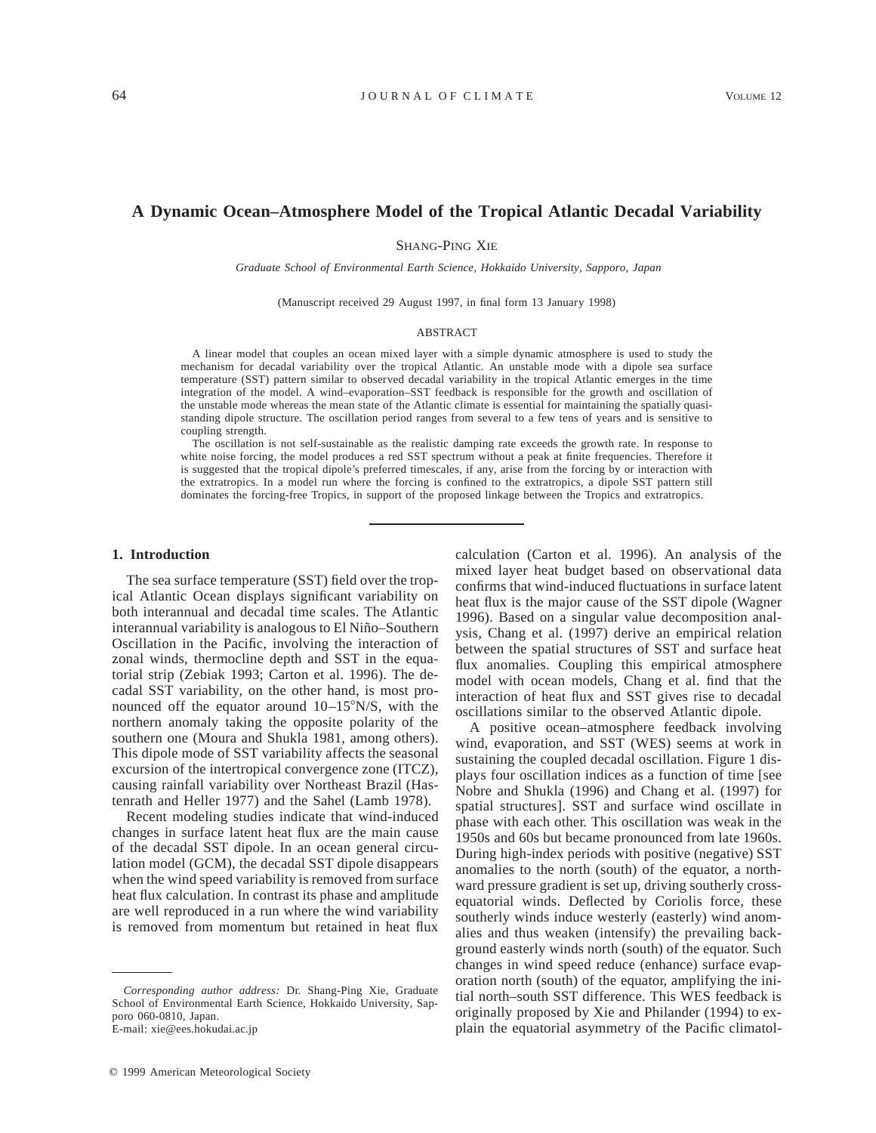# **A Dynamic Ocean–Atmosphere Model of the Tropical Atlantic Decadal Variability**

SHANG-PING XIE

*Graduate School of Environmental Earth Science, Hokkaido University, Sapporo, Japan*

(Manuscript received 29 August 1997, in final form 13 January 1998)

## ABSTRACT

A linear model that couples an ocean mixed layer with a simple dynamic atmosphere is used to study the mechanism for decadal variability over the tropical Atlantic. An unstable mode with a dipole sea surface temperature (SST) pattern similar to observed decadal variability in the tropical Atlantic emerges in the time integration of the model. A wind–evaporation–SST feedback is responsible for the growth and oscillation of the unstable mode whereas the mean state of the Atlantic climate is essential for maintaining the spatially quasistanding dipole structure. The oscillation period ranges from several to a few tens of years and is sensitive to coupling strength.

The oscillation is not self-sustainable as the realistic damping rate exceeds the growth rate. In response to white noise forcing, the model produces a red SST spectrum without a peak at finite frequencies. Therefore it is suggested that the tropical dipole's preferred timescales, if any, arise from the forcing by or interaction with the extratropics. In a model run where the forcing is confined to the extratropics, a dipole SST pattern still dominates the forcing-free Tropics, in support of the proposed linkage between the Tropics and extratropics.

#### **1. Introduction**

The sea surface temperature (SST) field over the tropical Atlantic Ocean displays significant variability on both interannual and decadal time scales. The Atlantic interannual variability is analogous to El Niño–Southern Oscillation in the Pacific, involving the interaction of zonal winds, thermocline depth and SST in the equatorial strip (Zebiak 1993; Carton et al. 1996). The decadal SST variability, on the other hand, is most pronounced off the equator around  $10-15^{\circ}$ N/S, with the northern anomaly taking the opposite polarity of the southern one (Moura and Shukla 1981, among others). This dipole mode of SST variability affects the seasonal excursion of the intertropical convergence zone (ITCZ), causing rainfall variability over Northeast Brazil (Hastenrath and Heller 1977) and the Sahel (Lamb 1978).

Recent modeling studies indicate that wind-induced changes in surface latent heat flux are the main cause of the decadal SST dipole. In an ocean general circulation model (GCM), the decadal SST dipole disappears when the wind speed variability is removed from surface heat flux calculation. In contrast its phase and amplitude are well reproduced in a run where the wind variability is removed from momentum but retained in heat flux

E-mail: xie@ees.hokudai.ac.jp

calculation (Carton et al. 1996). An analysis of the mixed layer heat budget based on observational data confirms that wind-induced fluctuations in surface latent heat flux is the major cause of the SST dipole (Wagner 1996). Based on a singular value decomposition analysis, Chang et al. (1997) derive an empirical relation between the spatial structures of SST and surface heat flux anomalies. Coupling this empirical atmosphere model with ocean models, Chang et al. find that the interaction of heat flux and SST gives rise to decadal oscillations similar to the observed Atlantic dipole.

A positive ocean–atmosphere feedback involving wind, evaporation, and SST (WES) seems at work in sustaining the coupled decadal oscillation. Figure 1 displays four oscillation indices as a function of time [see Nobre and Shukla (1996) and Chang et al. (1997) for spatial structures]. SST and surface wind oscillate in phase with each other. This oscillation was weak in the 1950s and 60s but became pronounced from late 1960s. During high-index periods with positive (negative) SST anomalies to the north (south) of the equator, a northward pressure gradient is set up, driving southerly crossequatorial winds. Deflected by Coriolis force, these southerly winds induce westerly (easterly) wind anomalies and thus weaken (intensify) the prevailing background easterly winds north (south) of the equator. Such changes in wind speed reduce (enhance) surface evaporation north (south) of the equator, amplifying the initial north–south SST difference. This WES feedback is originally proposed by Xie and Philander (1994) to explain the equatorial asymmetry of the Pacific climatol-

*Corresponding author address:* Dr. Shang-Ping Xie, Graduate School of Environmental Earth Science, Hokkaido University, Sapporo 060-0810, Japan.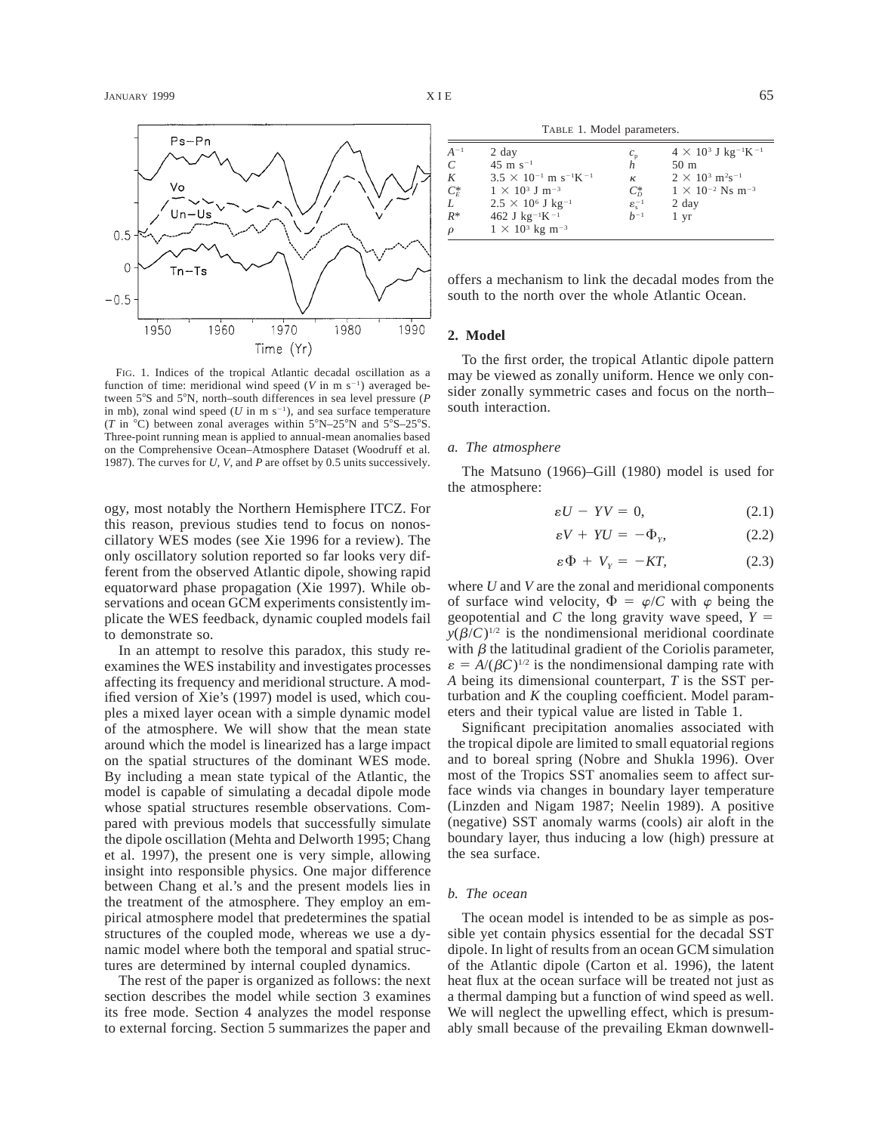

FIG. 1. Indices of the tropical Atlantic decadal oscillation as a function of time: meridional wind speed  $(V \text{ in } m s^{-1})$  averaged between 5°S and 5°N, north–south differences in sea level pressure (*P* in mb), zonal wind speed ( $U$  in m  $s^{-1}$ ), and sea surface temperature (*T* in  $^{\circ}$ C) between zonal averages within  $5^{\circ}$ N–25 $^{\circ}$ N and  $5^{\circ}$ S–25 $^{\circ}$ S. Three-point running mean is applied to annual-mean anomalies based on the Comprehensive Ocean–Atmosphere Dataset (Woodruff et al. 1987). The curves for *U, V,* and *P* are offset by 0.5 units successively.

ogy, most notably the Northern Hemisphere ITCZ. For this reason, previous studies tend to focus on nonoscillatory WES modes (see Xie 1996 for a review). The only oscillatory solution reported so far looks very different from the observed Atlantic dipole, showing rapid equatorward phase propagation (Xie 1997). While observations and ocean GCM experiments consistently implicate the WES feedback, dynamic coupled models fail to demonstrate so.

In an attempt to resolve this paradox, this study reexamines the WES instability and investigates processes affecting its frequency and meridional structure. A modified version of Xie's (1997) model is used, which couples a mixed layer ocean with a simple dynamic model of the atmosphere. We will show that the mean state around which the model is linearized has a large impact on the spatial structures of the dominant WES mode. By including a mean state typical of the Atlantic, the model is capable of simulating a decadal dipole mode whose spatial structures resemble observations. Compared with previous models that successfully simulate the dipole oscillation (Mehta and Delworth 1995; Chang et al. 1997), the present one is very simple, allowing insight into responsible physics. One major difference between Chang et al.'s and the present models lies in the treatment of the atmosphere. They employ an empirical atmosphere model that predetermines the spatial structures of the coupled mode, whereas we use a dynamic model where both the temporal and spatial structures are determined by internal coupled dynamics.

The rest of the paper is organized as follows: the next section describes the model while section 3 examines its free mode. Section 4 analyzes the model response to external forcing. Section 5 summarizes the paper and

TABLE 1. Model parameters.

| $A^{-1}$ | 2 day                                                  |                              | $4 \times 10^{3}$ J kg <sup>-1</sup> K <sup>-1</sup> |
|----------|--------------------------------------------------------|------------------------------|------------------------------------------------------|
| C        | $45 \text{ m s}^{-1}$                                  | $\frac{c_{\rm p}}{h}$        | $50 \text{ m}$                                       |
| K        | $3.5 \times 10^{-1}$ m s <sup>-1</sup> K <sup>-1</sup> | к                            | $2 \times 10^{3}$ m <sup>2</sup> s <sup>-1</sup>     |
| $C_F^*$  | $1 \times 10^3$ J m <sup>-3</sup>                      | $C_{\scriptscriptstyle D}^*$ | $1 \times 10^{-2}$ Ns m <sup>-3</sup>                |
| L        | $2.5 \times 10^6$ J kg <sup>-1</sup>                   | $\varepsilon_{\rm c}^{-1}$   | 2 day                                                |
| $R^*$    | 462 J $kg^{-1}K^{-1}$                                  | $h^{-1}$                     | 1 yr                                                 |
| $\rho$   | $1 \times 10^{3}$ kg m <sup>-3</sup>                   |                              |                                                      |

offers a mechanism to link the decadal modes from the south to the north over the whole Atlantic Ocean.

# **2. Model**

To the first order, the tropical Atlantic dipole pattern may be viewed as zonally uniform. Hence we only consider zonally symmetric cases and focus on the north– south interaction.

# *a. The atmosphere*

The Matsuno (1966)–Gill (1980) model is used for the atmosphere:

$$
\varepsilon U - YV = 0,\t(2.1)
$$

$$
\varepsilon V + YU = -\Phi_{Y}, \qquad (2.2)
$$

$$
\varepsilon \Phi + V_{Y} = -KT, \qquad (2.3)
$$

where *U* and *V* are the zonal and meridional components of surface wind velocity,  $\Phi = \varphi/C$  with  $\varphi$  being the geopotential and *C* the long gravity wave speed,  $Y =$  $y(\beta/C)^{1/2}$  is the nondimensional meridional coordinate with  $\beta$  the latitudinal gradient of the Coriolis parameter,  $\varepsilon = A/(\beta C)^{1/2}$  is the nondimensional damping rate with *A* being its dimensional counterpart, *T* is the SST perturbation and *K* the coupling coefficient. Model parameters and their typical value are listed in Table 1.

Significant precipitation anomalies associated with the tropical dipole are limited to small equatorial regions and to boreal spring (Nobre and Shukla 1996). Over most of the Tropics SST anomalies seem to affect surface winds via changes in boundary layer temperature (Linzden and Nigam 1987; Neelin 1989). A positive (negative) SST anomaly warms (cools) air aloft in the boundary layer, thus inducing a low (high) pressure at the sea surface.

### *b. The ocean*

The ocean model is intended to be as simple as possible yet contain physics essential for the decadal SST dipole. In light of results from an ocean GCM simulation of the Atlantic dipole (Carton et al. 1996), the latent heat flux at the ocean surface will be treated not just as a thermal damping but a function of wind speed as well. We will neglect the upwelling effect, which is presumably small because of the prevailing Ekman downwell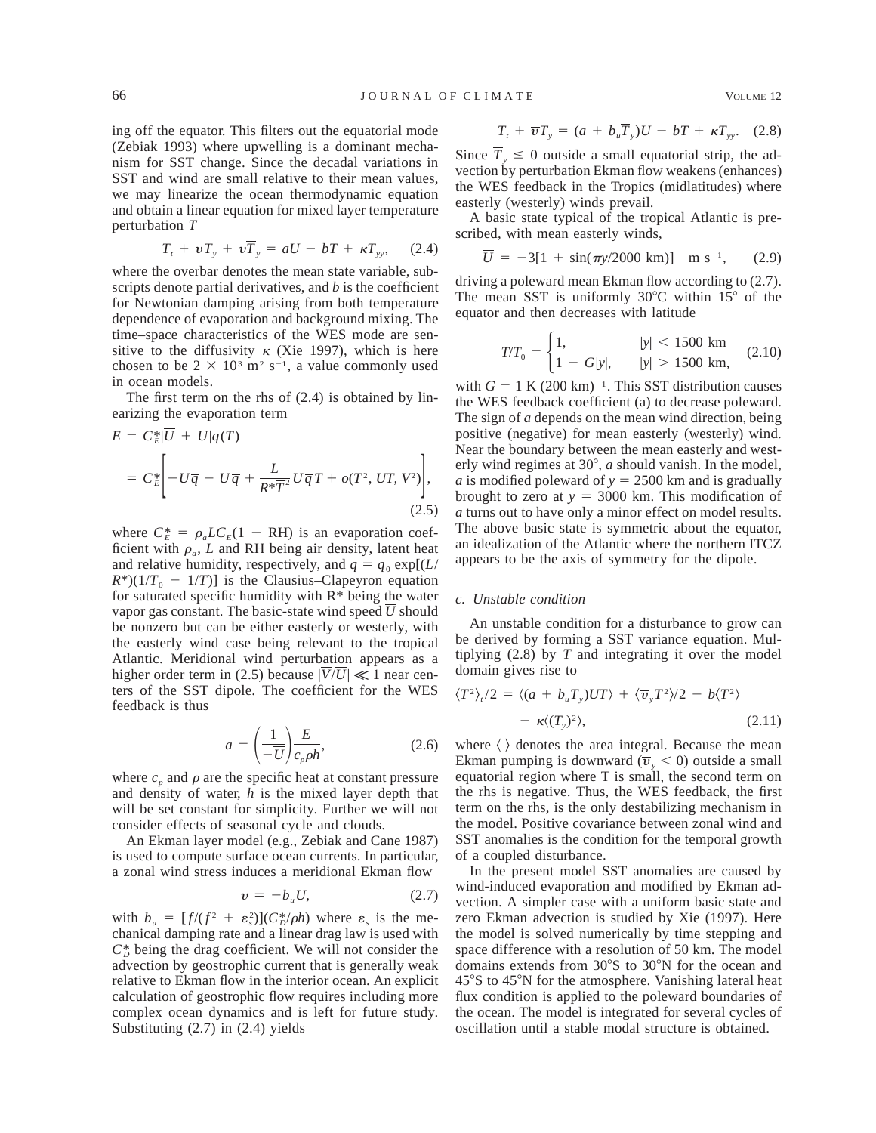ing off the equator. This filters out the equatorial mode (Zebiak 1993) where upwelling is a dominant mechanism for SST change. Since the decadal variations in SST and wind are small relative to their mean values, we may linearize the ocean thermodynamic equation and obtain a linear equation for mixed layer temperature perturbation *T*

$$
T_t + \overline{\boldsymbol{v}}T_y + \boldsymbol{v}\overline{T}_y = aU - bT + \kappa T_{yy}, \quad (2.4)
$$

where the overbar denotes the mean state variable, subscripts denote partial derivatives, and *b* is the coefficient for Newtonian damping arising from both temperature dependence of evaporation and background mixing. The time–space characteristics of the WES mode are sensitive to the diffusivity  $\kappa$  (Xie 1997), which is here chosen to be  $2 \times 10^3$  m<sup>2</sup> s<sup>-1</sup>, a value commonly used in ocean models.

The first term on the rhs of (2.4) is obtained by linearizing the evaporation term

$$
E = C_E^* |\overline{U} + U| q(T)
$$
  
=  $C_E^* \left[ -\overline{U} \overline{q} - U \overline{q} + \frac{L}{R^* \overline{T}^2} \overline{U} \overline{q} T + o(T^2, UT, V^2) \right],$  (2.5)

where  $C_E^* = \rho_a LC_E(1 - RH)$  is an evaporation coefficient with  $\rho_a$ , *L* and RH being air density, latent heat and relative humidity, respectively, and  $q = q_0 \exp[(L/\sqrt{m})]$  $R^*(1/T_0 - 1/T)$  is the Clausius–Clapeyron equation for saturated specific humidity with  $R^*$  being the water vapor gas constant. The basic-state wind speed  $\overline{U}$  should be nonzero but can be either easterly or westerly, with the easterly wind case being relevant to the tropical Atlantic. Meridional wind perturbation appears as a higher order term in (2.5) because  $|\overline{V}/\overline{U}| \ll 1$  near centers of the SST dipole. The coefficient for the WES feedback is thus

$$
a = \left(\frac{1}{-\overline{U}}\right) \frac{\overline{E}}{c_p \rho h},\tag{2.6}
$$

where  $c_p$  and  $\rho$  are the specific heat at constant pressure and density of water, *h* is the mixed layer depth that will be set constant for simplicity. Further we will not consider effects of seasonal cycle and clouds.

An Ekman layer model (e.g., Zebiak and Cane 1987) is used to compute surface ocean currents. In particular, a zonal wind stress induces a meridional Ekman flow

$$
v = -b_u U,\tag{2.7}
$$

with  $b_u = [f/(f^2 + \varepsilon_s^2)](C_b^*/\rho h)$  where  $\varepsilon_s$  is the mechanical damping rate and a linear drag law is used with  $C_D^*$  being the drag coefficient. We will not consider the advection by geostrophic current that is generally weak relative to Ekman flow in the interior ocean. An explicit calculation of geostrophic flow requires including more complex ocean dynamics and is left for future study. Substituting (2.7) in (2.4) yields

$$
T_t + \overline{\boldsymbol{v}}T_y = (a + b_u \overline{T}_y)U - bT + \kappa T_{yy}.
$$
 (2.8)

Since  $\overline{T}_y \le 0$  outside a small equatorial strip, the advection by perturbation Ekman flow weakens (enhances) the WES feedback in the Tropics (midlatitudes) where easterly (westerly) winds prevail.

A basic state typical of the tropical Atlantic is prescribed, with mean easterly winds,

$$
\overline{U} = -3[1 + \sin(\pi y/2000 \text{ km})] \text{ m s}^{-1}, \qquad (2.9)
$$

driving a poleward mean Ekman flow according to (2.7). The mean SST is uniformly  $30^{\circ}$ C within  $15^{\circ}$  of the equator and then decreases with latitude

$$
T/T_0 = \begin{cases} 1, & |y| < 1500 \text{ km} \\ 1 - G|y|, & |y| > 1500 \text{ km}, \end{cases} (2.10)
$$

with  $G = 1$  K (200 km)<sup>-1</sup>. This SST distribution causes the WES feedback coefficient (a) to decrease poleward. The sign of *a* depends on the mean wind direction, being positive (negative) for mean easterly (westerly) wind. Near the boundary between the mean easterly and westerly wind regimes at  $30^\circ$ ,  $a$  should vanish. In the model, *a* is modified poleward of  $y = 2500$  km and is gradually brought to zero at  $y = 3000$  km. This modification of *a* turns out to have only a minor effect on model results. The above basic state is symmetric about the equator, an idealization of the Atlantic where the northern ITCZ appears to be the axis of symmetry for the dipole.

## *c. Unstable condition*

An unstable condition for a disturbance to grow can be derived by forming a SST variance equation. Multiplying (2.8) by *T* and integrating it over the model domain gives rise to

$$
\langle T^2 \rangle_t / 2 = \langle (a + b_u \overline{T}_y) U T \rangle + \langle \overline{v}_y T^2 \rangle / 2 - b \langle T^2 \rangle
$$
  
-  $\kappa \langle (T_y)^2 \rangle,$  (2.11)

where  $\langle \rangle$  denotes the area integral. Because the mean Ekman pumping is downward  $(\overline{v}_{y} < 0)$  outside a small equatorial region where T is small, the second term on the rhs is negative. Thus, the WES feedback, the first term on the rhs, is the only destabilizing mechanism in the model. Positive covariance between zonal wind and SST anomalies is the condition for the temporal growth of a coupled disturbance.

In the present model SST anomalies are caused by wind-induced evaporation and modified by Ekman advection. A simpler case with a uniform basic state and zero Ekman advection is studied by Xie (1997). Here the model is solved numerically by time stepping and space difference with a resolution of 50 km. The model domains extends from 30°S to 30°N for the ocean and  $45^{\circ}$ S to  $45^{\circ}$ N for the atmosphere. Vanishing lateral heat flux condition is applied to the poleward boundaries of the ocean. The model is integrated for several cycles of oscillation until a stable modal structure is obtained.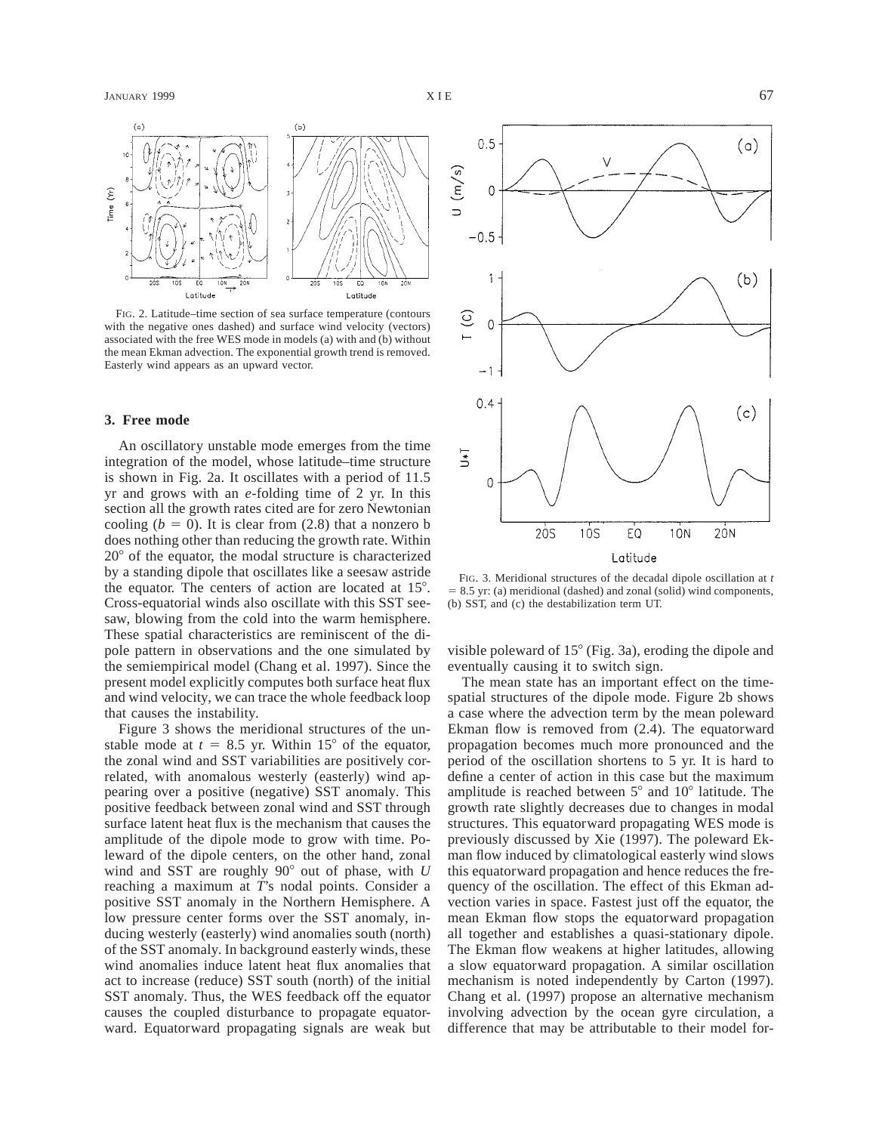

FIG. 2. Latitude–time section of sea surface temperature (contours with the negative ones dashed) and surface wind velocity (vectors) associated with the free WES mode in models (a) with and (b) without the mean Ekman advection. The exponential growth trend is removed. Easterly wind appears as an upward vector.

# **3. Free mode**

An oscillatory unstable mode emerges from the time integration of the model, whose latitude–time structure is shown in Fig. 2a. It oscillates with a period of 11.5 yr and grows with an *e*-folding time of 2 yr. In this section all the growth rates cited are for zero Newtonian cooling  $(b = 0)$ . It is clear from  $(2.8)$  that a nonzero b does nothing other than reducing the growth rate. Within  $20^{\circ}$  of the equator, the modal structure is characterized by a standing dipole that oscillates like a seesaw astride the equator. The centers of action are located at  $15^\circ$ . Cross-equatorial winds also oscillate with this SST seesaw, blowing from the cold into the warm hemisphere. These spatial characteristics are reminiscent of the dipole pattern in observations and the one simulated by the semiempirical model (Chang et al. 1997). Since the present model explicitly computes both surface heat flux and wind velocity, we can trace the whole feedback loop that causes the instability.

Figure 3 shows the meridional structures of the unstable mode at  $t = 8.5$  yr. Within 15° of the equator, the zonal wind and SST variabilities are positively correlated, with anomalous westerly (easterly) wind appearing over a positive (negative) SST anomaly. This positive feedback between zonal wind and SST through surface latent heat flux is the mechanism that causes the amplitude of the dipole mode to grow with time. Poleward of the dipole centers, on the other hand, zonal wind and SST are roughly  $90^\circ$  out of phase, with *U* reaching a maximum at *T*'s nodal points. Consider a positive SST anomaly in the Northern Hemisphere. A low pressure center forms over the SST anomaly, inducing westerly (easterly) wind anomalies south (north) of the SST anomaly. In background easterly winds, these wind anomalies induce latent heat flux anomalies that act to increase (reduce) SST south (north) of the initial SST anomaly. Thus, the WES feedback off the equator causes the coupled disturbance to propagate equatorward. Equatorward propagating signals are weak but



FIG. 3. Meridional structures of the decadal dipole oscillation at *t*  $= 8.5$  yr: (a) meridional (dashed) and zonal (solid) wind components, (b) SST, and (c) the destabilization term UT.

visible poleward of  $15^{\circ}$  (Fig. 3a), eroding the dipole and eventually causing it to switch sign.

The mean state has an important effect on the timespatial structures of the dipole mode. Figure 2b shows a case where the advection term by the mean poleward Ekman flow is removed from (2.4). The equatorward propagation becomes much more pronounced and the period of the oscillation shortens to 5 yr. It is hard to define a center of action in this case but the maximum amplitude is reached between  $5^{\circ}$  and  $10^{\circ}$  latitude. The growth rate slightly decreases due to changes in modal structures. This equatorward propagating WES mode is previously discussed by Xie (1997). The poleward Ekman flow induced by climatological easterly wind slows this equatorward propagation and hence reduces the frequency of the oscillation. The effect of this Ekman advection varies in space. Fastest just off the equator, the mean Ekman flow stops the equatorward propagation all together and establishes a quasi-stationary dipole. The Ekman flow weakens at higher latitudes, allowing a slow equatorward propagation. A similar oscillation mechanism is noted independently by Carton (1997). Chang et al. (1997) propose an alternative mechanism involving advection by the ocean gyre circulation, a difference that may be attributable to their model for-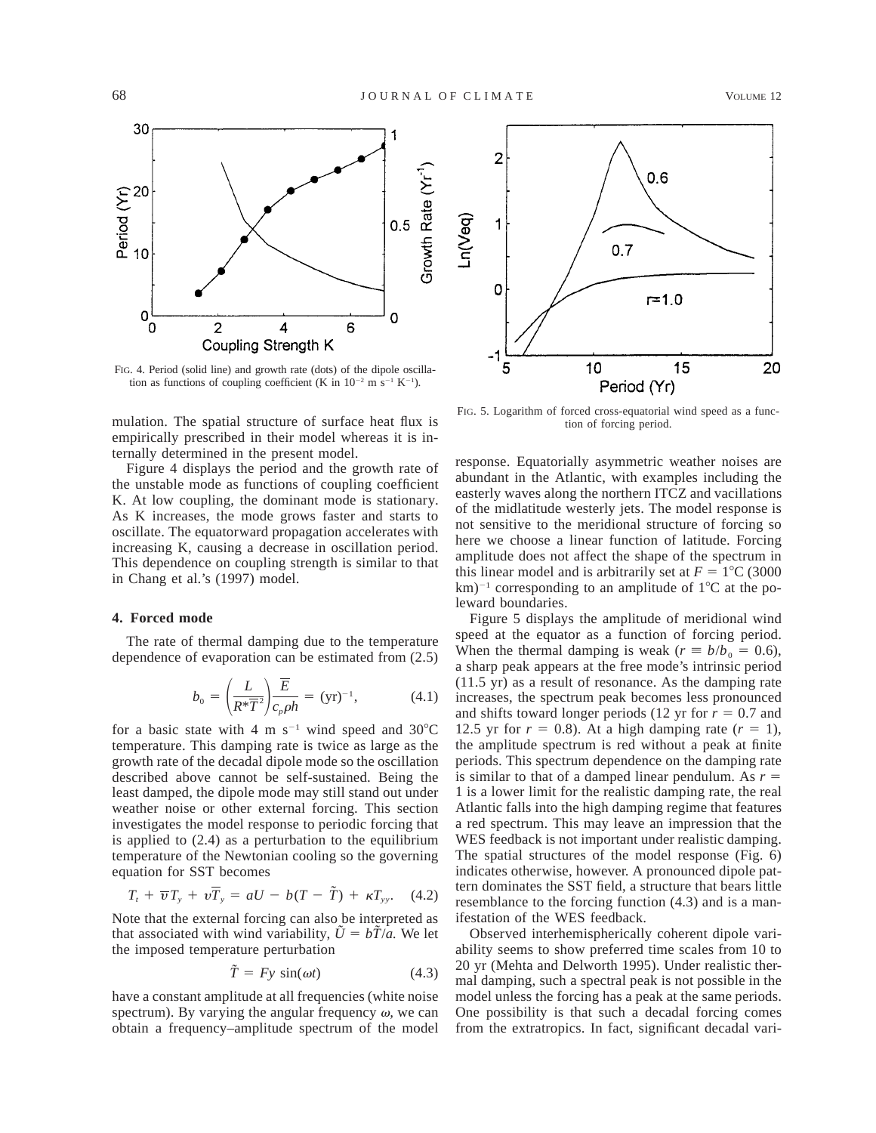

FIG. 4. Period (solid line) and growth rate (dots) of the dipole oscillation as functions of coupling coefficient (K in  $10^{-2}$  m s<sup>-1</sup> K<sup>-1</sup>).

mulation. The spatial structure of surface heat flux is empirically prescribed in their model whereas it is internally determined in the present model.

Figure 4 displays the period and the growth rate of the unstable mode as functions of coupling coefficient K. At low coupling, the dominant mode is stationary. As K increases, the mode grows faster and starts to oscillate. The equatorward propagation accelerates with increasing K, causing a decrease in oscillation period. This dependence on coupling strength is similar to that in Chang et al.'s (1997) model.

### **4. Forced mode**

The rate of thermal damping due to the temperature dependence of evaporation can be estimated from (2.5)

$$
b_0 = \left(\frac{L}{R^* \overline{T}^2}\right) \frac{\overline{E}}{c_p \rho h} = (\text{yr})^{-1},\tag{4.1}
$$

for a basic state with 4 m  $s^{-1}$  wind speed and 30°C temperature. This damping rate is twice as large as the growth rate of the decadal dipole mode so the oscillation described above cannot be self-sustained. Being the least damped, the dipole mode may still stand out under weather noise or other external forcing. This section investigates the model response to periodic forcing that is applied to (2.4) as a perturbation to the equilibrium temperature of the Newtonian cooling so the governing equation for SST becomes

$$
T_t + \overline{\boldsymbol{v}} T_y + \nu \overline{T}_y = aU - b(T - \tilde{T}) + \kappa T_{yy}. \quad (4.2)
$$

Note that the external forcing can also be interpreted as that associated with wind variability,  $\tilde{U} = b\tilde{T}/a$ . We let the imposed temperature perturbation

$$
\tilde{T} = Fy \sin(\omega t) \tag{4.3}
$$

have a constant amplitude at all frequencies (white noise spectrum). By varying the angular frequency  $\omega$ , we can obtain a frequency–amplitude spectrum of the model



FIG. 5. Logarithm of forced cross-equatorial wind speed as a func-<br>tion of forcing period.

response. Equatorially asymmetric weather noises are abundant in the Atlantic, with examples including the easterly waves along the northern ITCZ and vacillations of the midlatitude westerly jets. The model response is not sensitive to the meridional structure of forcing so here we choose a linear function of latitude. Forcing amplitude does not affect the shape of the spectrum in this linear model and is arbitrarily set at  $F = 1^{\circ}C$  (3000)  $km$ <sup>-1</sup> corresponding to an amplitude of 1°C at the poleward boundaries.

Figure 5 displays the amplitude of meridional wind speed at the equator as a function of forcing period. When the thermal damping is weak ( $r \equiv b/b_0 = 0.6$ ), a sharp peak appears at the free mode's intrinsic period (11.5 yr) as a result of resonance. As the damping rate increases, the spectrum peak becomes less pronounced and shifts toward longer periods (12 yr for  $r = 0.7$  and 12.5 yr for  $r = 0.8$ ). At a high damping rate  $(r = 1)$ , the amplitude spectrum is red without a peak at finite periods. This spectrum dependence on the damping rate is similar to that of a damped linear pendulum. As  $r =$ 1 is a lower limit for the realistic damping rate, the real Atlantic falls into the high damping regime that features a red spectrum. This may leave an impression that the WES feedback is not important under realistic damping. The spatial structures of the model response (Fig. 6) indicates otherwise, however. A pronounced dipole pattern dominates the SST field, a structure that bears little resemblance to the forcing function (4.3) and is a manifestation of the WES feedback.

Observed interhemispherically coherent dipole variability seems to show preferred time scales from 10 to 20 yr (Mehta and Delworth 1995). Under realistic thermal damping, such a spectral peak is not possible in the model unless the forcing has a peak at the same periods. One possibility is that such a decadal forcing comes from the extratropics. In fact, significant decadal vari-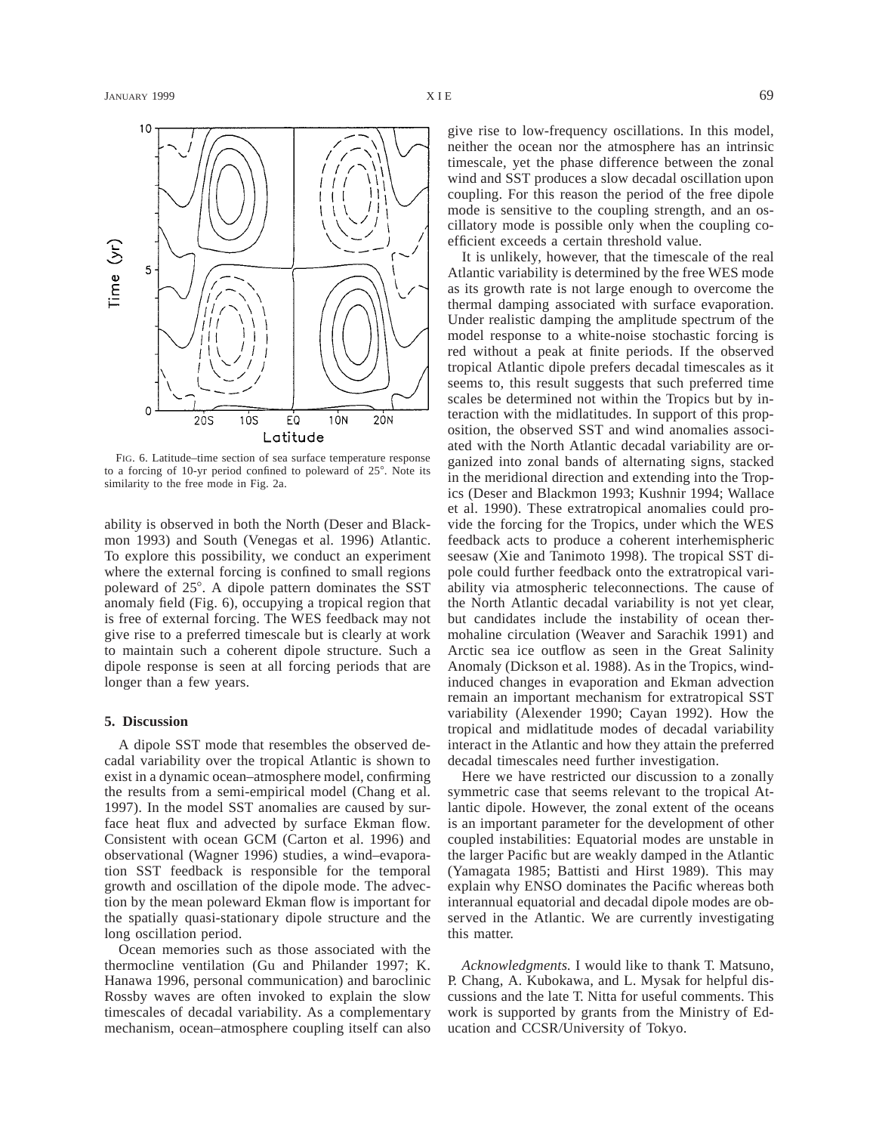

FIG. 6. Latitude–time section of sea surface temperature response to a forcing of 10-yr period confined to poleward of 25°. Note its similarity to the free mode in Fig. 2a.

ability is observed in both the North (Deser and Blackmon 1993) and South (Venegas et al. 1996) Atlantic. To explore this possibility, we conduct an experiment where the external forcing is confined to small regions poleward of 25°. A dipole pattern dominates the SST anomaly field (Fig. 6), occupying a tropical region that is free of external forcing. The WES feedback may not give rise to a preferred timescale but is clearly at work to maintain such a coherent dipole structure. Such a dipole response is seen at all forcing periods that are longer than a few years.

# **5. Discussion**

A dipole SST mode that resembles the observed decadal variability over the tropical Atlantic is shown to exist in a dynamic ocean–atmosphere model, confirming the results from a semi-empirical model (Chang et al. 1997). In the model SST anomalies are caused by surface heat flux and advected by surface Ekman flow. Consistent with ocean GCM (Carton et al. 1996) and observational (Wagner 1996) studies, a wind–evaporation SST feedback is responsible for the temporal growth and oscillation of the dipole mode. The advection by the mean poleward Ekman flow is important for the spatially quasi-stationary dipole structure and the long oscillation period.

Ocean memories such as those associated with the thermocline ventilation (Gu and Philander 1997; K. Hanawa 1996, personal communication) and baroclinic Rossby waves are often invoked to explain the slow timescales of decadal variability. As a complementary mechanism, ocean–atmosphere coupling itself can also

give rise to low-frequency oscillations. In this model, neither the ocean nor the atmosphere has an intrinsic timescale, yet the phase difference between the zonal wind and SST produces a slow decadal oscillation upon coupling. For this reason the period of the free dipole mode is sensitive to the coupling strength, and an oscillatory mode is possible only when the coupling coefficient exceeds a certain threshold value.

It is unlikely, however, that the timescale of the real Atlantic variability is determined by the free WES mode as its growth rate is not large enough to overcome the thermal damping associated with surface evaporation. Under realistic damping the amplitude spectrum of the model response to a white-noise stochastic forcing is red without a peak at finite periods. If the observed tropical Atlantic dipole prefers decadal timescales as it seems to, this result suggests that such preferred time scales be determined not within the Tropics but by interaction with the midlatitudes. In support of this proposition, the observed SST and wind anomalies associated with the North Atlantic decadal variability are organized into zonal bands of alternating signs, stacked in the meridional direction and extending into the Tropics (Deser and Blackmon 1993; Kushnir 1994; Wallace et al. 1990). These extratropical anomalies could provide the forcing for the Tropics, under which the WES feedback acts to produce a coherent interhemispheric seesaw (Xie and Tanimoto 1998). The tropical SST dipole could further feedback onto the extratropical variability via atmospheric teleconnections. The cause of the North Atlantic decadal variability is not yet clear, but candidates include the instability of ocean thermohaline circulation (Weaver and Sarachik 1991) and Arctic sea ice outflow as seen in the Great Salinity Anomaly (Dickson et al. 1988). As in the Tropics, windinduced changes in evaporation and Ekman advection remain an important mechanism for extratropical SST variability (Alexender 1990; Cayan 1992). How the tropical and midlatitude modes of decadal variability interact in the Atlantic and how they attain the preferred decadal timescales need further investigation.

Here we have restricted our discussion to a zonally symmetric case that seems relevant to the tropical Atlantic dipole. However, the zonal extent of the oceans is an important parameter for the development of other coupled instabilities: Equatorial modes are unstable in the larger Pacific but are weakly damped in the Atlantic (Yamagata 1985; Battisti and Hirst 1989). This may explain why ENSO dominates the Pacific whereas both interannual equatorial and decadal dipole modes are observed in the Atlantic. We are currently investigating this matter.

*Acknowledgments.* I would like to thank T. Matsuno, P. Chang, A. Kubokawa, and L. Mysak for helpful discussions and the late T. Nitta for useful comments. This work is supported by grants from the Ministry of Education and CCSR/University of Tokyo.